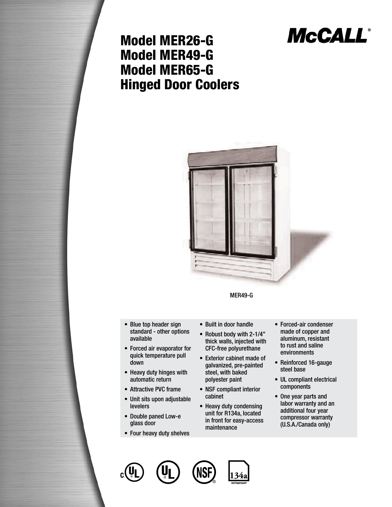# **McCALL®**

### Model MER26-G Model MER49-G Model MER65-G Hinged Door Coolers



MER49-G

- Blue top header sign standard - other options available
- Forced air evaporator for quick temperature pull down
- Heavy duty hinges with automatic return
- Attractive PVC frame •
- Unit sits upon adjustable levelers
- Double paned Low-e glass door
- Four heavy duty shelves
- Built in door handle
- Robust body with 2-1/4" thick walls, injected with CFC-free polyurethane
- Exterior cabinet made of galvanized, pre-painted steel, with baked polyester paint
- NSF compliant interior cabinet
- Heavy duty condensing unit for R134a, located in front for easy-access maintenance
- Forced-air condenser made of copper and aluminum, resistant to rust and saline environments
- Reinforced 16-gauge steel base
- UL compliant electrical components
- One year parts and labor warranty and an additional four year compressor warranty (U.S.A./Canada only)